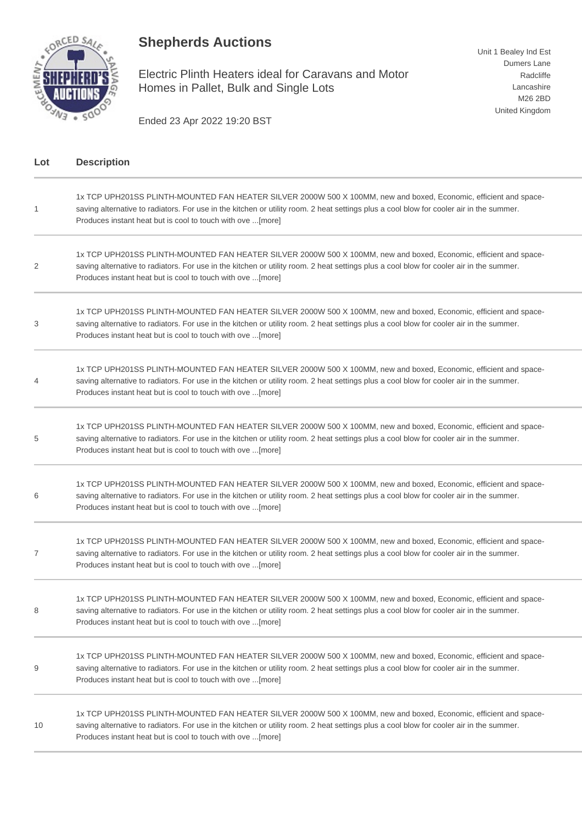## **Shepherds Auctions**



Electric Plinth Heaters ideal for Caravans and Motor Homes in Pallet, Bulk and Single Lots

Unit 1 Bealey Ind Est Dumers Lane Radcliffe Lancashire M26 2BD United Kingdom

Ended 23 Apr 2022 19:20 BST

| Lot | <b>Description</b>                                                                                                                                                                                                                                                                                                         |
|-----|----------------------------------------------------------------------------------------------------------------------------------------------------------------------------------------------------------------------------------------------------------------------------------------------------------------------------|
| 1   | 1x TCP UPH201SS PLINTH-MOUNTED FAN HEATER SILVER 2000W 500 X 100MM, new and boxed, Economic, efficient and space-<br>saving alternative to radiators. For use in the kitchen or utility room. 2 heat settings plus a cool blow for cooler air in the summer.<br>Produces instant heat but is cool to touch with ove [more] |
| 2   | 1x TCP UPH201SS PLINTH-MOUNTED FAN HEATER SILVER 2000W 500 X 100MM, new and boxed, Economic, efficient and space-<br>saving alternative to radiators. For use in the kitchen or utility room. 2 heat settings plus a cool blow for cooler air in the summer.<br>Produces instant heat but is cool to touch with ove [more] |
| 3   | 1x TCP UPH201SS PLINTH-MOUNTED FAN HEATER SILVER 2000W 500 X 100MM, new and boxed, Economic, efficient and space-<br>saving alternative to radiators. For use in the kitchen or utility room. 2 heat settings plus a cool blow for cooler air in the summer.<br>Produces instant heat but is cool to touch with ove [more] |
| 4   | 1x TCP UPH201SS PLINTH-MOUNTED FAN HEATER SILVER 2000W 500 X 100MM, new and boxed, Economic, efficient and space-<br>saving alternative to radiators. For use in the kitchen or utility room. 2 heat settings plus a cool blow for cooler air in the summer.<br>Produces instant heat but is cool to touch with ove [more] |
| 5   | 1x TCP UPH201SS PLINTH-MOUNTED FAN HEATER SILVER 2000W 500 X 100MM, new and boxed, Economic, efficient and space-<br>saving alternative to radiators. For use in the kitchen or utility room. 2 heat settings plus a cool blow for cooler air in the summer.<br>Produces instant heat but is cool to touch with ove [more] |
| 6   | 1x TCP UPH201SS PLINTH-MOUNTED FAN HEATER SILVER 2000W 500 X 100MM, new and boxed, Economic, efficient and space-<br>saving alternative to radiators. For use in the kitchen or utility room. 2 heat settings plus a cool blow for cooler air in the summer.<br>Produces instant heat but is cool to touch with ove [more] |
| 7   | 1x TCP UPH201SS PLINTH-MOUNTED FAN HEATER SILVER 2000W 500 X 100MM, new and boxed, Economic, efficient and space-<br>saving alternative to radiators. For use in the kitchen or utility room. 2 heat settings plus a cool blow for cooler air in the summer.<br>Produces instant heat but is cool to touch with ove [more] |
| 8   | 1x TCP UPH201SS PLINTH-MOUNTED FAN HEATER SILVER 2000W 500 X 100MM, new and boxed, Economic, efficient and space-<br>saving alternative to radiators. For use in the kitchen or utility room. 2 heat settings plus a cool blow for cooler air in the summer.<br>Produces instant heat but is cool to touch with ove [more] |
| 9   | 1x TCP UPH201SS PLINTH-MOUNTED FAN HEATER SILVER 2000W 500 X 100MM, new and boxed, Economic, efficient and space-<br>saving alternative to radiators. For use in the kitchen or utility room. 2 heat settings plus a cool blow for cooler air in the summer.<br>Produces instant heat but is cool to touch with ove [more] |
| 10  | 1x TCP UPH201SS PLINTH-MOUNTED FAN HEATER SILVER 2000W 500 X 100MM, new and boxed, Economic, efficient and space-<br>saving alternative to radiators. For use in the kitchen or utility room. 2 heat settings plus a cool blow for cooler air in the summer.<br>Produces instant heat but is cool to touch with ove [more] |